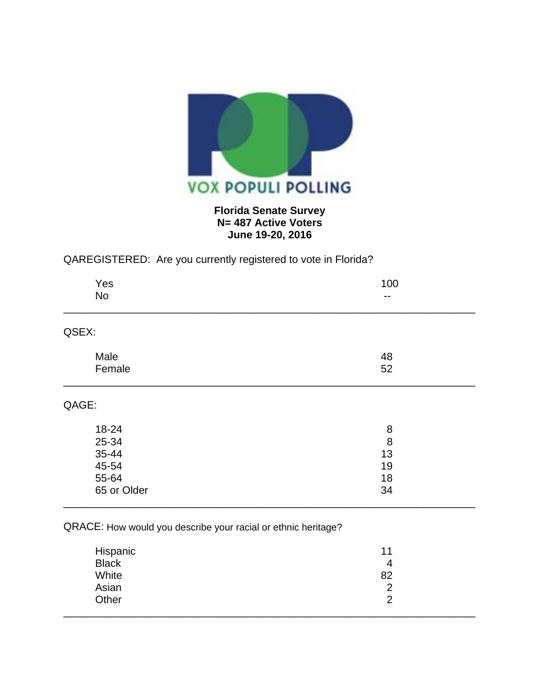

## **Florida Senate Survey N= 487 Active Voters June 19-20, 2016**

## QAREGISTERED: Are you currently registered to vote in Florida?

| 100 |
|-----|
| --  |
|     |
| 48  |
| 52  |
|     |
| 8   |
| 8   |
| 13  |
| 19  |
| 18  |
| 34  |
|     |

## QRACE: How would you describe your racial or ethnic heritage?

| Hispanic     | 11 |
|--------------|----|
| <b>Black</b> | 4  |
| White        | 82 |
| Asian        | っ  |
| Other        | ာ  |